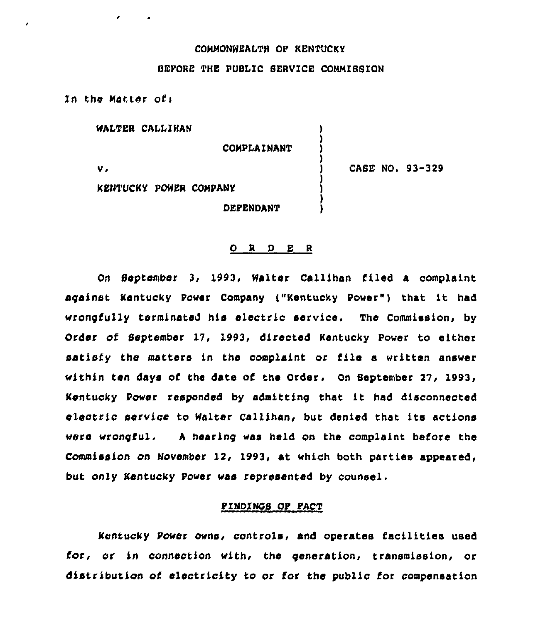## COMMONWEALTH OP KENTUCKY

### BEPORE THE PUBLIC SERVICE COMMISSION

)

)

In the Matter of:

WALTER CALLIHAN

**COMPLAINANT** 

 $\mathbf v$  .

CASE NO. 93-329

KENTUCKY POWER COMPANY

DEPENDANT

#### 0 <sup>R</sup> <sup>D</sup> E <sup>R</sup>

On September 3, 1993, Walter Callihan filed a complaint against Kentucky Power Company ("Kentucky Power") that it had «rongfu11y terminated his electric service. The Commission, by Order of September 17, 1993, directed Kentucky Power to either satisfy the matters in the complaint or file a written answer within ten days of the date of the Order. On September 29, 1993, Kentucky Power responded by admitting that it had disconnected electric service to Walter Callihan, but denied that its actions were wrongful. A hearing was held on the complaint before the Commission on November 12, 1993, at which both parties appeared, but only Kentucky Power «as represented by counsel.

#### PINDINOS OP PACT

Kentucky Power owns, controls, and operates facilities used for, or in connection with, the generation, transmission, or distribution of electricity to or for the public for compensation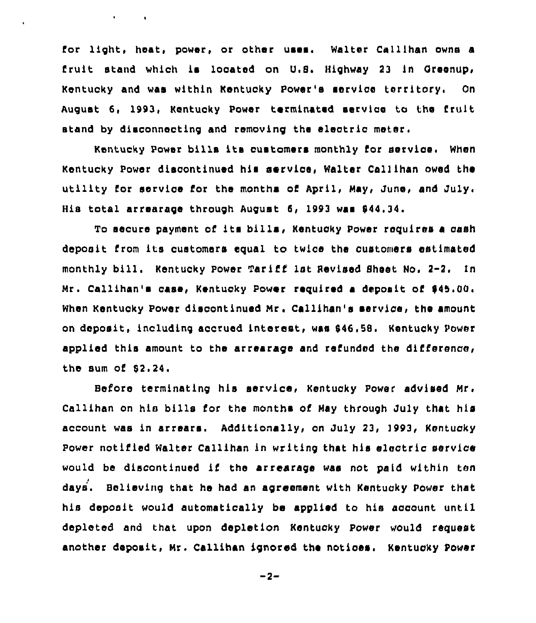for light, heat, power, or other uses. Walter Callihan owns a fruit stand which is located on U.S. Highway 23 in Greenup, Kentucky and was within Kentucky Power's service territory, On August 6, 1993, Kentucky Power terminated service to the fruit stand by disconnecting and removing the electric meter.

Kentucky Power bills its customers monthly for service. When Kentucky Power diacontinued his service, Walter Callihan owed the utility for service for the months of April, May, June, and July His total arrearage through August 6, 1993 was 944,34.

To secure payment of its bills, Kentucky Power requires <sup>a</sup> cash deposit from its customers equal to twice the customers estimated monthly bill. Kentucky Power Tariff 1st Revised Sheet No. 2-2. In Mr. Callihan's case, Kentucky Power required a deposit of \$45,00. When Kentucky Power discontinued Mr. Callihan's service, the amount on deposit, including accrued interest, was 646,58. Kentucky Power applied this amount to the arrearage and refunded the difference, the sum of 62.24

Before terminating his service, Kentucky Power advised Mr. Callihan on his bills for the months of May through July that his account was in arrears. Additionally, on July 23, 1993, Kentucky Power notified Walter Callihan in writing that his electric service would be discontinued if the arrearage was not paid within ten days. Believing that he had sn agreement with Kentucky Power that his deposit would automatically be applied to his account until depleted and that upon depletion Kentucky Power would request another deposit, Mr. Callihan ignored the notices. Kentucky Power

 $-2-$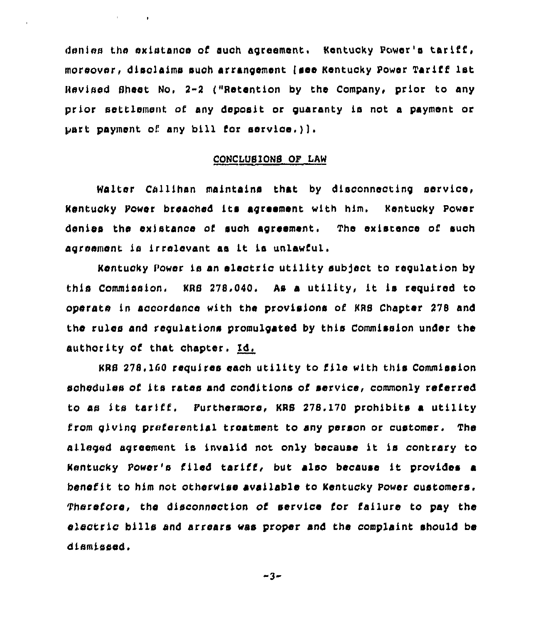denies the existance of such agreement. Kentucky Power's tariff, moreover, disclaims such arrangement (see Kentucky Power Tariff 1st Revised Sheet No, 2-2 ("Retention by the Company, prior to any prior settlement of any deposit or guaranty ia not a payment or part payment of any bill for service.)).

 $\mathbf{r} = \left\{ \mathbf{r} \in \mathbb{R}^d \mid \mathbf{r} \in \mathbb{R}^d \right\}$ 

# CQNCLUSLONS OP LAN

Walter Callihan maintains that by dlsoonnecting service, Kentucky Power breached its agreement with him. Kentucky Power denies the existance of such agreement. The existence of such agreement is irrelevant as it is unlawful.

Kentucky Power is an electric utility sub]ect to regulation by this Commission. KRB 278.040. As a utility, it is required to operate in accordance with the provisions of KRS Chapter 278 and the rules and regulations promulgated by this Commission under the authority of that chapter, Id.

KRB 278. 160 requires each utility to file with this Commission schedules of its rates and conditions of service, commonly referred to as its tariff, Furthermore, KRS 278. 170 prohibits a utility from giving preferential treatment to sny person or customer. The alleged agreement is invalid not only because it is contrary to Kentucky Power's filed tariff, but also because it provides <sup>a</sup> benefit to him not otherwise available to Kentucky Power customers. Therefore, the disconnection of service for failure to pay the electric bills and arrears was proper and the complaint should be di.smissed.

 $-3-$